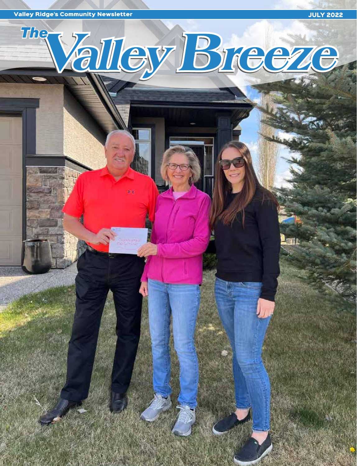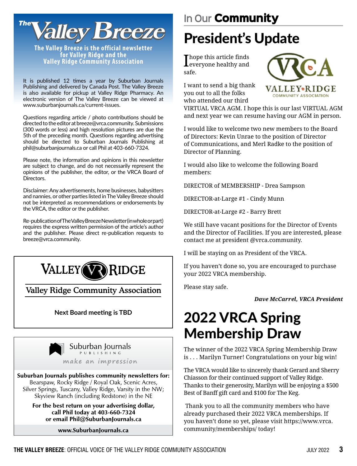

**The Valley Breeze is the official newsletter for Valley Ridge and the Valley Ridge Community Association**

It is published 12 times a year by Suburban Journals Publishing and delivered by Canada Post. The Valley Breeze is also available for pickup at Valley Ridge Pharmacy. An electronic version of The Valley Breeze can be viewed at www.suburbanjournals.ca/current-issues.

Questions regarding article / photo contributions should be directed to the editor at breeze@vrca.community. Submissions (300 words or less) and high resolution pictures are due the 5th of the preceding month. Questions regarding advertising should be directed to Suburban Journals Publishing at phil@suburbanjournals.ca or call Phil at 403-660-7324.

Please note, the information and opinions in this newsletter are subject to change, and do not necessarily represent the opinions of the publisher, the editor, or the VRCA Board of Directors.

Disclaimer: Any advertisements, home businesses, babysitters and nannies, or other parties listed in The Valley Breeze should not be interpreted as recommendations or endorsements by the VRCA, the editor or the publisher.

Re-publication of The Valley Breeze Newsletter (in whole or part) requires the express written permission of the article's author and the publisher. Please direct re-publication requests to breeze@vrca.community.



Valley Ridge Community Association

#### **Next Board meeting is TBD**



Suburban Journals publishes community newsletters for: Bearspaw, Rocky Ridge / Royal Oak, Scenic Acres, Silver Springs, Tuscany, Valley Ridge, Varsity in the NW; Skyview Ranch (including Redstone) in the NE

For the best return on your advertising dollar, call Phil today at 403-660-7324 or email Phil@SuburbanJournals.ca

www.SuburbanJournals.ca

# President's Update

 ${\Large \bf \small{I}}$  hope this article finds everyone healthy and safe.



I want to send a big thank you out to all the folks who attended our third

VIRTUAL VRCA AGM. I hope this is our last VIRTUAL AGM and next year we can resume having our AGM in person.

I would like to welcome two new members to the Board of Directors: Kevin Unrae to the position of Director of Communications, and Merl Radke to the position of Director of Planning.

I would also like to welcome the following Board members:

DIRECTOR of MEMBERSHIP - Drea Sampson

DIRECTOR-at-Large #1 - Cindy Munn

DIRECTOR-at-Large #2 - Barry Brett

We still have vacant positions for the Director of Events and the Director of Facilities. If you are interested, please contact me at president @vrca.community.

I will be staying on as President of the VRCA.

If you haven't done so, you are encouraged to purchase your 2022 VRCA membership.

Please stay safe.

*Dave McCarrel, VRCA President*

### 2022 VRCA Spring Membership Draw

The winner of the 2022 VRCA Spring Membership Draw is . . . Marilyn Turner! Congratulations on your big win!

The VRCA would like to sincerely thank Gerard and Sherry Chiasson for their continued support of Valley Ridge. Thanks to their generosity, Marilyn will be enjoying a \$500 Best of Banff gift card and \$100 for The Keg.

 Thank you to all the community members who have already purchased their 2022 VRCA memberships. If you haven't done so yet, please visit https://www.vrca. community/memberships/ today!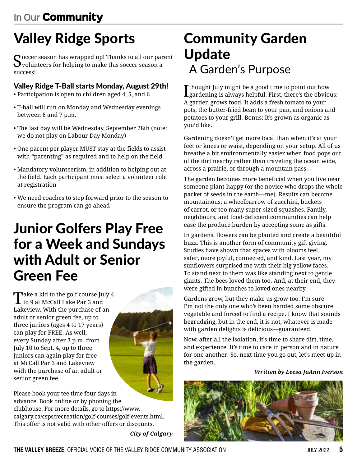### **In Our** Community

# Valley Ridge Sports

 $\mathbf C$  occer season has wrapped up! Thanks to all our parent volunteers for helping to make this soccer season a success!

#### Valley Ridge T-Ball starts Monday, August 29th!

- Participation is open to children aged 4, 5, and 6
- T-ball will run on Monday and Wednesday evenings between 6 and 7 p.m.
- The last day will be Wednesday, September 28th (note: we do not play on Labour Day Monday)
- One parent per player MUST stay at the fields to assist with "parenting" as required and to help on the field
- Mandatory volunteerism, in addition to helping out at the field. Each participant must select a volunteer role at registration
- We need coaches to step forward prior to the season to ensure the program can go ahead

### Junior Golfers Play Free for a Week and Sundays with Adult or Senior Green Fee

Take a kid to the golf course July 4 to 9 at McCall Lake Par 3 and Lakeview. With the purchase of an adult or senior green fee, up to three juniors (ages 4 to 17 years) can play for FREE. As well, every Sunday after 3 p.m. from July 10 to Sept. 4, up to three juniors can again play for free at McCall Par 3 and Lakeview with the purchase of an adult or senior green fee.



Please book your tee time four days in advance. Book online or by phoning the clubhouse. For more details, go to https://www. calgary.ca/csps/recreation/golf-courses/golf-events.html. This offer is not valid with other offers or discounts.

*City of Calgary*

### Community Garden Update A Garden's Purpose

I thought July might be a good time to point out how gardening is always helpful. First, there's the obvious: A garden grows food. It adds a fresh tomato to your pots, the butter-fried bean to your pan, and onions and potatoes to your grill. Bonus: It's grown as organic as you'd like.

Gardening doesn't get more local than when it's at your feet or knees or waist, depending on your setup. All of us breathe a bit environmentally easier when food pops out of the dirt nearby rather than traveling the ocean wide, across a prairie, or through a mountain pass.

The garden becomes more beneficial when you live near someone plant-happy (or the novice who drops the whole packet of seeds in the earth—me). Results can become mountainous: a wheelbarrow of zucchini, buckets of carrot, or too many super-sized squashes. Family, neighbours, and food-deficient communities can help ease the produce burden by accepting some as gifts.

In gardens, flowers can be planted and create a beautiful buzz. This is another form of community gift giving. Studies have shown that spaces with blooms feel safer, more joyful, connected, and kind. Last year, my sunflowers surprised me with their big yellow faces. To stand next to them was like standing next to gentle giants. The bees loved them too. And, at their end, they were gifted in bunches to loved ones nearby.

Gardens grow, but they make us grow too. I'm sure I'm not the only one who's been handed some obscure vegetable and forced to find a recipe. I know that sounds begrudging, but in the end, it is not; whatever is made with garden delights is delicious—guaranteed.

Now, after all the isolation, it's time to share dirt, time, and experience. It's time to care in person and in nature for one another. So, next time you go out, let's meet up in the garden.

*Written by Leesa JoAnn Iverson*

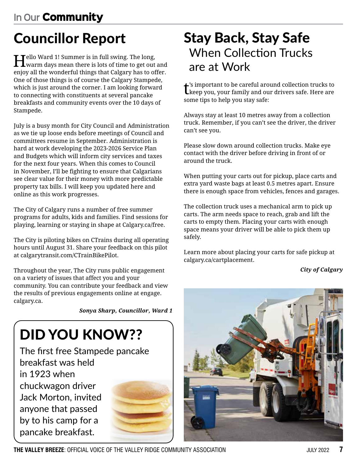# Councillor Report

Hello Ward 1! Summer is in full swing. The long, warm days mean there is lots of time to get out and enjoy all the wonderful things that Calgary has to offer. One of those things is of course the Calgary Stampede, which is just around the corner. I am looking forward to connecting with constituents at several pancake breakfasts and community events over the 10 days of Stampede.

July is a busy month for City Council and Administration as we tie up loose ends before meetings of Council and committees resume in September. Administration is hard at work developing the 2023-2026 Service Plan and Budgets which will inform city services and taxes for the next four years. When this comes to Council in November, I'll be fighting to ensure that Calgarians see clear value for their money with more predictable property tax bills. I will keep you updated here and online as this work progresses.

The City of Calgary runs a number of free summer programs for adults, kids and families. Find sessions for playing, learning or staying in shape at Calgary.ca/free.

The City is piloting bikes on CTrains during all operating hours until August 31. Share your feedback on this pilot at calgarytransit.com/CTrainBikePilot.

Throughout the year, The City runs public engagement on a variety of issues that affect you and your community. You can contribute your feedback and view the results of previous engagements online at engage. calgary.ca.

*Sonya Sharp, Councillor, Ward 1*

# DID YOU KNOW??

The first free Stampede pancake breakfast was held in 1923 when chuckwagon driver Jack Morton, invited anyone that passed by to his camp for a pancake breakfast.



### Stay Back, Stay Safe When Collection Trucks are at Work

 $t^{\text{is}}$  important to be careful around collection trucks to theep you, your family and our drivers safe. Here are  $\blacktriangle$ 's important to be careful around collection trucks to some tips to help you stay safe:

Always stay at least 10 metres away from a collection truck. Remember, if you can't see the driver, the driver can't see you.

Please slow down around collection trucks. Make eye contact with the driver before driving in front of or around the truck.

When putting your carts out for pickup, place carts and extra yard waste bags at least 0.5 metres apart. Ensure there is enough space from vehicles, fences and garages.

The collection truck uses a mechanical arm to pick up carts. The arm needs space to reach, grab and lift the carts to empty them. Placing your carts with enough space means your driver will be able to pick them up safely.

Learn more about placing your carts for safe pickup at calgary.ca/cartplacement.

*City of Calgary*



**THE VALLEY BREEZE**: OFFICIAL VOICE OF THE VALLEY RIDGE COMMUNITY ASSOCIATION JULY 2022 **7**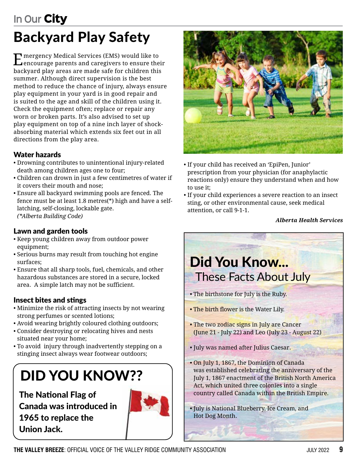### Backyard Play Safety **In Our** City

Emergency Medical Services (EMS) would like to encourage parents and caregivers to ensure their backyard play areas are made safe for children this summer. Although direct supervision is the best method to reduce the chance of injury, always ensure play equipment in your yard is in good repair and is suited to the age and skill of the children using it. Check the equipment often; replace or repair any worn or broken parts. It's also advised to set up play equipment on top of a nine inch layer of shockabsorbing material which extends six feet out in all directions from the play area.

#### Water hazards

- Drowning contributes to unintentional injury-related death among children ages one to four;
- Children can drown in just a few centimetres of water if it covers their mouth and nose;
- Ensure all backyard swimming pools are fenced. The fence must be at least 1.8 metres(\*) high and have a selflatching, self-closing, lockable gate. *(\*Alberta Building Code)*

#### Lawn and garden tools

- Keep young children away from outdoor power equipment;
- Serious burns may result from touching hot engine surfaces;
- Ensure that all sharp tools, fuel, chemicals, and other hazardous substances are stored in a secure, locked area. A simple latch may not be sufficient.

#### Insect bites and stings

- Minimize the risk of attracting insects by not wearing strong perfumes or scented lotions;
- Avoid wearing brightly coloured clothing outdoors;
- Consider destroying or relocating hives and nests situated near your home;
- To avoid injury through inadvertently stepping on a stinging insect always wear footwear outdoors;

# DID YOU KNOW??

The National Flag of Canada was introduced in 1965 to replace the Union Jack.





- If your child has received an 'EpiPen, Junior' prescription from your physician (for anaphylactic reactions only) ensure they understand when and how to use it;
- If your child experiences a severe reaction to an insect sting, or other environmental cause, seek medical attention, or call 9-1-1.

#### *Alberta Health Services*

### Did You Know... These Facts About July

- The birthstone for July is the Ruby.
- The birth flower is the Water Lily.
- The two zodiac signs in July are Cancer (June 21 - July 22) and Leo (July 23 - August 22)
- July was named after Julius Caesar.
- On July 1, 1867, the Dominion of Canada was established celebrating the anniversary of the July 1, 1867 enactment of the British North America Act, which united three colonies into a single country called Canada within the British Empire.
- July is National Blueberry, Ice Cream, and Hot Dog Month.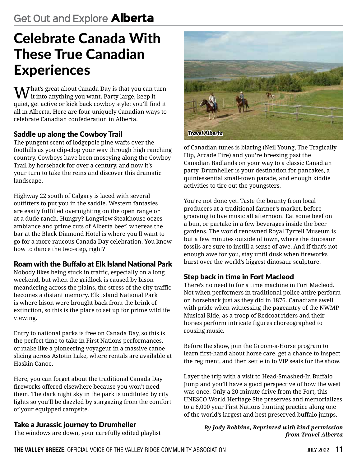## Celebrate Canada With These True Canadian **Experiences**

 $\bigwedge_{i\neq i}$ hat's great about Canada Day is that you can turn it into anything you want. Party large, keep it quiet, get active or kick back cowboy style: you'll find it all in Alberta. Here are four uniquely Canadian ways to celebrate Canadian confederation in Alberta.

### Saddle up along the Cowboy Trail

The pungent scent of lodgepole pine wafts over the foothills as you clip-clop your way through high ranching country. Cowboys have been moseying along the Cowboy Trail by horseback for over a century, and now it's your turn to take the reins and discover this dramatic landscape.

Highway 22 south of Calgary is laced with several outfitters to put you in the saddle. Western fantasies are easily fulfilled overnighting on the open range or at a dude ranch. Hungry? Longview Steakhouse oozes ambiance and prime cuts of Alberta beef, whereas the bar at the Black Diamond Hotel is where you'll want to go for a more raucous Canada Day celebration. You know how to dance the two-step, right?

#### Roam with the Buffalo at Elk Island National Park

Nobody likes being stuck in traffic, especially on a long weekend, but when the gridlock is caused by bison meandering across the plains, the stress of the city traffic becomes a distant memory. Elk Island National Park is where bison were brought back from the brink of extinction, so this is the place to set up for prime wildlife viewing.

Entry to national parks is free on Canada Day, so this is the perfect time to take in First Nations performances, or make like a pioneering voyageur in a massive canoe slicing across Astotin Lake, where rentals are available at Haskin Canoe.

Here, you can forget about the traditional Canada Day fireworks offered elsewhere because you won't need them. The dark night sky in the park is undiluted by city lights so you'll be dazzled by stargazing from the comfort of your equipped campsite.

#### Take a Jurassic journey to Drumheller

The windows are down, your carefully edited playlist



of Canadian tunes is blaring (Neil Young, The Tragically Hip, Arcade Fire) and you're breezing past the Canadian Badlands on your way to a classic Canadian party. Drumheller is your destination for pancakes, a quintessential small-town parade, and enough kiddie activities to tire out the youngsters.

You're not done yet. Taste the bounty from local producers at a traditional farmer's market, before grooving to live music all afternoon. Eat some beef on a bun, or partake in a few beverages inside the beer gardens. The world renowned Royal Tyrrell Museum is but a few minutes outside of town, where the dinosaur fossils are sure to instill a sense of awe. And if that's not enough awe for you, stay until dusk when fireworks burst over the world's biggest dinosaur sculpture.

#### Step back in time in Fort Macleod

There's no need to for a time machine in Fort Macleod. Not when performers in traditional police attire perform on horseback just as they did in 1876. Canadians swell with pride when witnessing the pageantry of the NWMP Musical Ride, as a troop of Redcoat riders and their horses perform intricate figures choreographed to rousing music.

Before the show, join the Groom-a-Horse program to learn first-hand about horse care, get a chance to inspect the regiment, and then settle in to VIP seats for the show.

Layer the trip with a visit to Head-Smashed-In Buffalo Jump and you'll have a good perspective of how the west was once. Only a 20-minute drive from the Fort, this UNESCO World Heritage Site preserves and memorializes to a 6,000 year First Nations hunting practice along one of the world's largest and best preserved buffalo jumps.

#### *By Jody Robbins, Reprinted with kind permission from Travel Alberta*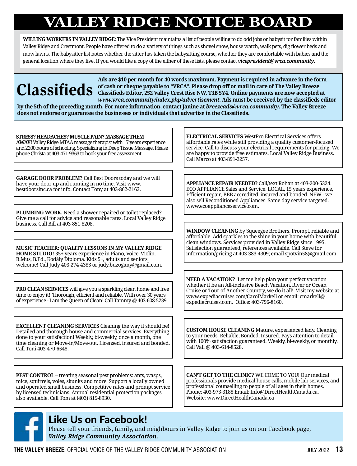## **VALLEY RIDGE NOTICE BOARD**

**WILLING WORKERS IN VALLEY RIDGE**: The Vice President maintains a list of people willing to do odd jobs or babysit for families within Valley Ridge and Crestmont. People have offered to do a variety of things such as shovel snow, house watch, walk pets, dig flower beds and mow lawns. The babysitter list notes whether the sitter has taken the babysitting course, whether they are comfortable with babies and the general location where they live. If you would like a copy of the either of these lists, please contact *vicepresident@vrca.community*.

**Ads are \$10 per month for 40 words maximum. Payment is required in advance in the form of cash or cheque payable to "VRCA". Please drop off or mail in care of The Valley Breeze Classifieds Editor, 252 Valley Crest Rise NW, T3B 5Y4. Online payments are now accepted at**  *www.vrca.community/index.php/advertisement***. Ads must be received by the classifieds editor** 

**by the 5th of the preceding month. For more information, contact Janine at** *breezeads@vrca.community***. The Valley Breeze does not endorse or guarantee the businesses or individuals that advertise in the Classifieds.**

#### **STRESS? HEADACHES? MUSCLE PAIN? MASSAGE THEM**

**AWAY!**Valley Ridge MTAA massage therapist with 17 years experience and 2200 hours of schooling. Specializing in Deep Tissue Massage. Please phone Christa at 403-471-9363 to book your free assessment.

**GARAGE DOOR PROBLEM?** Call Best Doors today and we will have your door up and running in no time. Visit www. bestdoorsinc.ca for info. Contact Tony at 403-862-2162.

**PLUMBING WORK.** Need a shower repaired or toilet replaced? Give me a call for advice and reasonable rates. Local Valley Ridge business. Call Bill at 403-851-8208.

**MUSIC TEACHER: QUALITY LESSONS IN MY VALLEY RIDGE HOME STUDIO!** 35+ years experience in Piano, Voice, Violin. B.Mus, B.Ed., Kodály Diploma. Kids 5+, adults and seniors welcome! Call Judy 403-274-4383 or judy.buzogany@gmail.com.

**PRO CLEAN SERVICES** will give you a sparkling clean home and free time to enjoy it! Thorough, efficient and reliable. With over 30 years of experience - I am the Queen of Clean! Call Tammy @ 403-608-5239.

**EXCELLENT CLEANING SERVICES** Cleaning the way it should be! Detailed and thorough house and commercial services. Everything done to your satisfaction! Weekly, bi-weekly, once a month, one time cleaning or Move-in/Move-out. Licensed, insured and bonded. Call Toni 403-470-6548.

**PEST CONTROL –** treating seasonal pest problems: ants, wasps, mice, squirrels, voles, skunks and more. Support a locally owned and operated small business. Competitive rates and prompt service by licensed technicians. Annual residential protection packages also available. Call Tom at (403) 815-8930.

**ELECTRICAL SERVICES** WestPro Electrical Services offers affordable rates while still providing a quality customer-focused service. Call to discuss your electrical requirements for pricing. We are happy to provide free estimates. Local Valley Ridge Business. Call Marco at 403-891-3257.

**APPLIANCE REPAIR NEEDED?** Call/text Rohan at 403-200-5324. ECO APPLIANCE Sales and Service. LOCAL, 15 years experience, Efficient repair, BBB accredited, insured and bonded. NEW - we also sell Reconditioned Appliances. Same day service targeted. www.ecoapplianceservice.com.

**WINDOW CLEANING** by Squeegee Brothers. Prompt, reliable and affordable. Add sparkles to the shine in your home with beautiful clean windows. Services provided in Valley Ridge since 1995. Satisfaction guaranteed, references available. Call Steve for information/pricing at 403-383-4309; email spotvin58@gmail.com.

**NEED A VACATION?** Let me help plan your perfect vacation whether it be an All-inclusive Beach Vacation, River or Ocean Cruise or Tour of Another Country, we do it all! Visit my website at www.expediacruises.com/CarolMarkell or email: cmarkell@ expediacruises.com. Office: 403-796-8160.

**CUSTOM HOUSE CLEANING** Mature, experienced lady. Cleaning to your needs. Reliable; Bonded; Insured. Pays attention to detail with 100% satisfaction guaranteed. Weekly, bi-weekly, or monthly. Call Vall @ 403-614-8528.

**CAN'T GET TO THE CLINIC?** WE COME TO YOU! Our medical professionals provide medical house calls, mobile lab services, and professional counselling to people of all ages in their homes. Phone: 403-973-3188 Email: Info@DirectHealthCanada.ca. Website: www.DirectHealthCanada.ca

### Like Us on Facebook!

Please tell your friends, family, and neighbours in Valley Ridge to join us on our Facebook page, *Valley Ridge Community Association*.